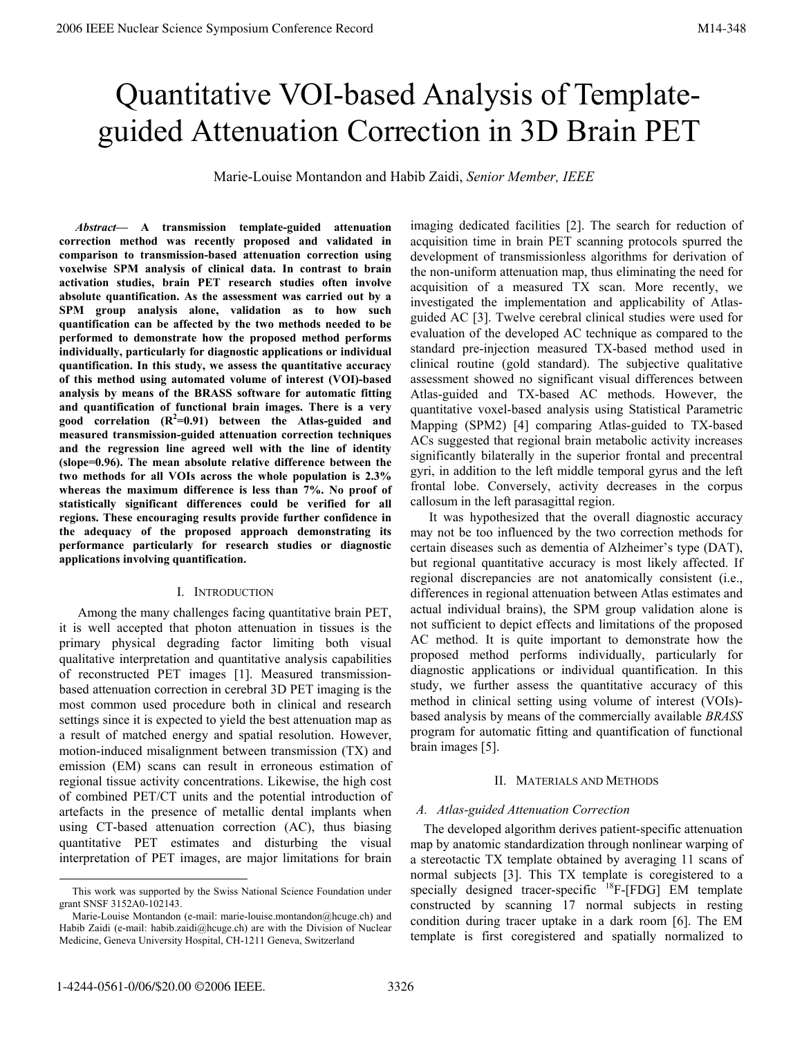# Quantitative VOI-based Analysis of Templateguided Attenuation Correction in 3D Brain PET

Marie-Louise Montandon and Habib Zaidi, *Senior Member, IEEE*

 *Abstract—* **A transmission template-guided attenuation correction method was recently proposed and validated in comparison to transmission-based attenuation correction using voxelwise SPM analysis of clinical data. In contrast to brain activation studies, brain PET research studies often involve absolute quantification. As the assessment was carried out by a SPM group analysis alone, validation as to how such quantification can be affected by the two methods needed to be performed to demonstrate how the proposed method performs individually, particularly for diagnostic applications or individual quantification. In this study, we assess the quantitative accuracy of this method using automated volume of interest (VOI)-based analysis by means of the BRASS software for automatic fitting and quantification of functional brain images. There is a very good correlation (R<sup>2</sup> =0.91) between the Atlas-guided and measured transmission-guided attenuation correction techniques and the regression line agreed well with the line of identity (slope=0.96). The mean absolute relative difference between the two methods for all VOIs across the whole population is 2.3% whereas the maximum difference is less than 7%. No proof of statistically significant differences could be verified for all regions. These encouraging results provide further confidence in the adequacy of the proposed approach demonstrating its performance particularly for research studies or diagnostic applications involving quantification.** 

### I. INTRODUCTION

Among the many challenges facing quantitative brain PET, it is well accepted that photon attenuation in tissues is the primary physical degrading factor limiting both visual qualitative interpretation and quantitative analysis capabilities of reconstructed PET images [1]. Measured transmissionbased attenuation correction in cerebral 3D PET imaging is the most common used procedure both in clinical and research settings since it is expected to yield the best attenuation map as a result of matched energy and spatial resolution. However, motion-induced misalignment between transmission (TX) and emission (EM) scans can result in erroneous estimation of regional tissue activity concentrations. Likewise, the high cost of combined PET/CT units and the potential introduction of artefacts in the presence of metallic dental implants when using CT-based attenuation correction (AC), thus biasing quantitative PET estimates and disturbing the visual interpretation of PET images, are major limitations for brain imaging dedicated facilities [2]. The search for reduction of acquisition time in brain PET scanning protocols spurred the development of transmissionless algorithms for derivation of the non-uniform attenuation map, thus eliminating the need for acquisition of a measured TX scan. More recently, we investigated the implementation and applicability of Atlasguided AC [3]. Twelve cerebral clinical studies were used for evaluation of the developed AC technique as compared to the standard pre-injection measured TX-based method used in clinical routine (gold standard). The subjective qualitative assessment showed no significant visual differences between Atlas-guided and TX-based AC methods. However, the quantitative voxel-based analysis using Statistical Parametric Mapping (SPM2) [4] comparing Atlas-guided to TX-based ACs suggested that regional brain metabolic activity increases significantly bilaterally in the superior frontal and precentral gyri, in addition to the left middle temporal gyrus and the left frontal lobe. Conversely, activity decreases in the corpus callosum in the left parasagittal region.

It was hypothesized that the overall diagnostic accuracy may not be too influenced by the two correction methods for certain diseases such as dementia of Alzheimer's type (DAT), but regional quantitative accuracy is most likely affected. If regional discrepancies are not anatomically consistent (i.e., differences in regional attenuation between Atlas estimates and actual individual brains), the SPM group validation alone is not sufficient to depict effects and limitations of the proposed AC method. It is quite important to demonstrate how the proposed method performs individually, particularly for diagnostic applications or individual quantification. In this study, we further assess the quantitative accuracy of this method in clinical setting using volume of interest (VOIs) based analysis by means of the commercially available *BRASS* program for automatic fitting and quantification of functional brain images [5].

### II. MATERIALS AND METHODS

# *A. Atlas-guided Attenuation Correction*

The developed algorithm derives patient-specific attenuation map by anatomic standardization through nonlinear warping of a stereotactic TX template obtained by averaging 11 scans of normal subjects [3]. This TX template is coregistered to a specially designed tracer-specific <sup>18</sup>F-[FDG] EM template constructed by scanning 17 normal subjects in resting condition during tracer uptake in a dark room [6]. The EM template is first coregistered and spatially normalized to

This work was supported by the Swiss National Science Foundation under grant SNSF 3152A0-102143.

Marie-Louise Montandon (e-mail: marie-louise.montandon@hcuge.ch) and Habib Zaidi (e-mail: habib.zaidi@hcuge.ch) are with the Division of Nuclear Medicine, Geneva University Hospital, CH-1211 Geneva, Switzerland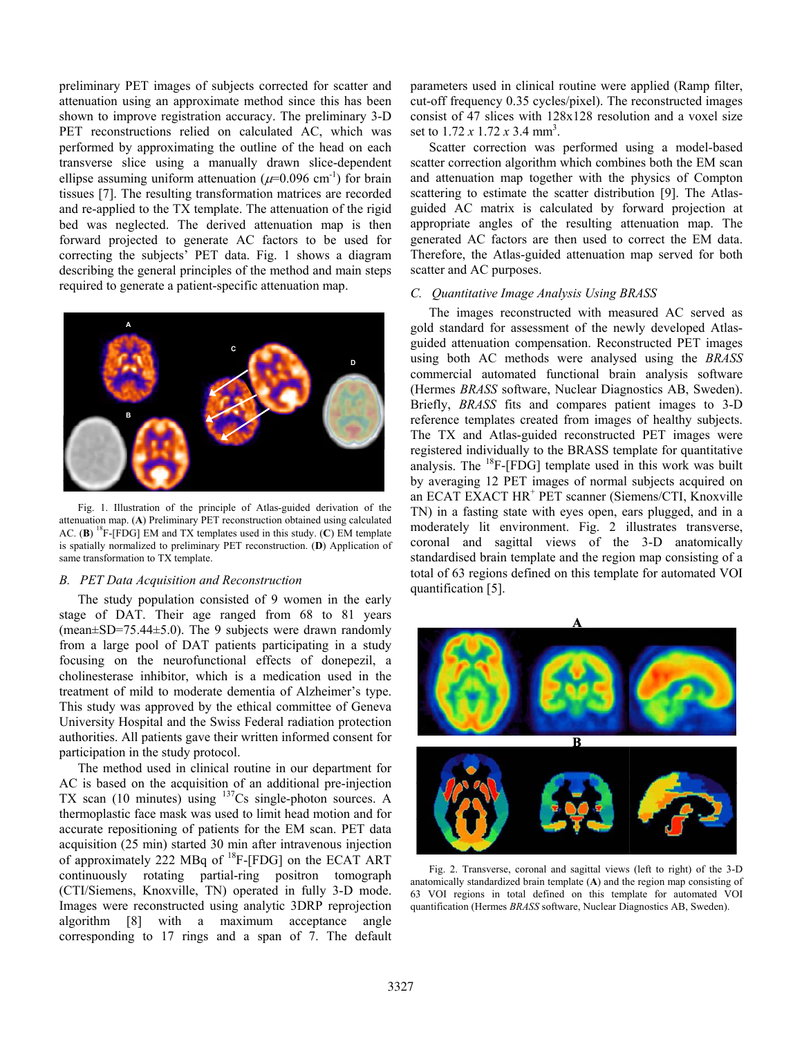preliminary PET images of subjects corrected for scatter and attenuation using an approximate method since this has been shown to improve registration accuracy. The preliminary 3-D PET reconstructions relied on calculated AC, which was performed by approximating the outline of the head on each transverse slice using a manually drawn slice-dependent ellipse assuming uniform attenuation ( $\mu$ =0.096 cm<sup>-1</sup>) for brain tissues [7]. The resulting transformation matrices are recorded and re-applied to the TX template. The attenuation of the rigid bed was neglected. The derived attenuation map is then forward projected to generate AC factors to be used for correcting the subjects' PET data. Fig. 1 shows a diagram describing the general principles of the method and main steps required to generate a patient-specific attenuation map.



Fig. 1. Illustration of the principle of Atlas-guided derivation of the attenuation map. (**A**) Preliminary PET reconstruction obtained using calculated AC.  $(B)$  <sup>18</sup>F-[FDG] EM and TX templates used in this study.  $(C)$  EM template is spatially normalized to preliminary PET reconstruction. (**D**) Application of same transformation to TX template.

#### *B. PET Data Acquisition and Reconstruction*

The study population consisted of 9 women in the early stage of DAT. Their age ranged from 68 to 81 years  $(mean \pm SD = 75.44 \pm 5.0)$ . The 9 subjects were drawn randomly from a large pool of DAT patients participating in a study focusing on the neurofunctional effects of donepezil, a cholinesterase inhibitor, which is a medication used in the treatment of mild to moderate dementia of Alzheimer's type. This study was approved by the ethical committee of Geneva University Hospital and the Swiss Federal radiation protection authorities. All patients gave their written informed consent for participation in the study protocol.

The method used in clinical routine in our department for AC is based on the acquisition of an additional pre-injection TX scan (10 minutes) using  $137Cs$  single-photon sources. A thermoplastic face mask was used to limit head motion and for accurate repositioning of patients for the EM scan. PET data acquisition (25 min) started 30 min after intravenous injection of approximately 222 MBq of  ${}^{18}$ F-[FDG] on the ECAT ART continuously rotating partial-ring positron tomograph (CTI/Siemens, Knoxville, TN) operated in fully 3-D mode. Images were reconstructed using analytic 3DRP reprojection algorithm [8] with a maximum acceptance angle corresponding to 17 rings and a span of 7. The default parameters used in clinical routine were applied (Ramp filter, cut-off frequency 0.35 cycles/pixel). The reconstructed images consist of 47 slices with 128x128 resolution and a voxel size set to 1.72 *x* 1.72 *x* 3.4 mm3 .

Scatter correction was performed using a model-based scatter correction algorithm which combines both the EM scan and attenuation map together with the physics of Compton scattering to estimate the scatter distribution [9]. The Atlasguided AC matrix is calculated by forward projection at appropriate angles of the resulting attenuation map. The generated AC factors are then used to correct the EM data. Therefore, the Atlas-guided attenuation map served for both scatter and AC purposes.

### *C. Quantitative Image Analysis Using BRASS*

The images reconstructed with measured AC served as gold standard for assessment of the newly developed Atlasguided attenuation compensation. Reconstructed PET images using both AC methods were analysed using the *BRASS* commercial automated functional brain analysis software (Hermes *BRASS* software, Nuclear Diagnostics AB, Sweden). Briefly, *BRASS* fits and compares patient images to 3-D reference templates created from images of healthy subjects. The TX and Atlas-guided reconstructed PET images were registered individually to the BRASS template for quantitative analysis. The  ${}^{18}F$ -[FDG] template used in this work was built by averaging 12 PET images of normal subjects acquired on an ECAT EXACT HR<sup>+</sup> PET scanner (Siemens/CTI, Knoxville TN) in a fasting state with eyes open, ears plugged, and in a moderately lit environment. Fig. 2 illustrates transverse, coronal and sagittal views of the 3-D anatomically standardised brain template and the region map consisting of a total of 63 regions defined on this template for automated VOI quantification [5].



Fig. 2. Transverse, coronal and sagittal views (left to right) of the 3-D anatomically standardized brain template (**A**) and the region map consisting of 63 VOI regions in total defined on this template for automated VOI quantification (Hermes *BRASS* software, Nuclear Diagnostics AB, Sweden).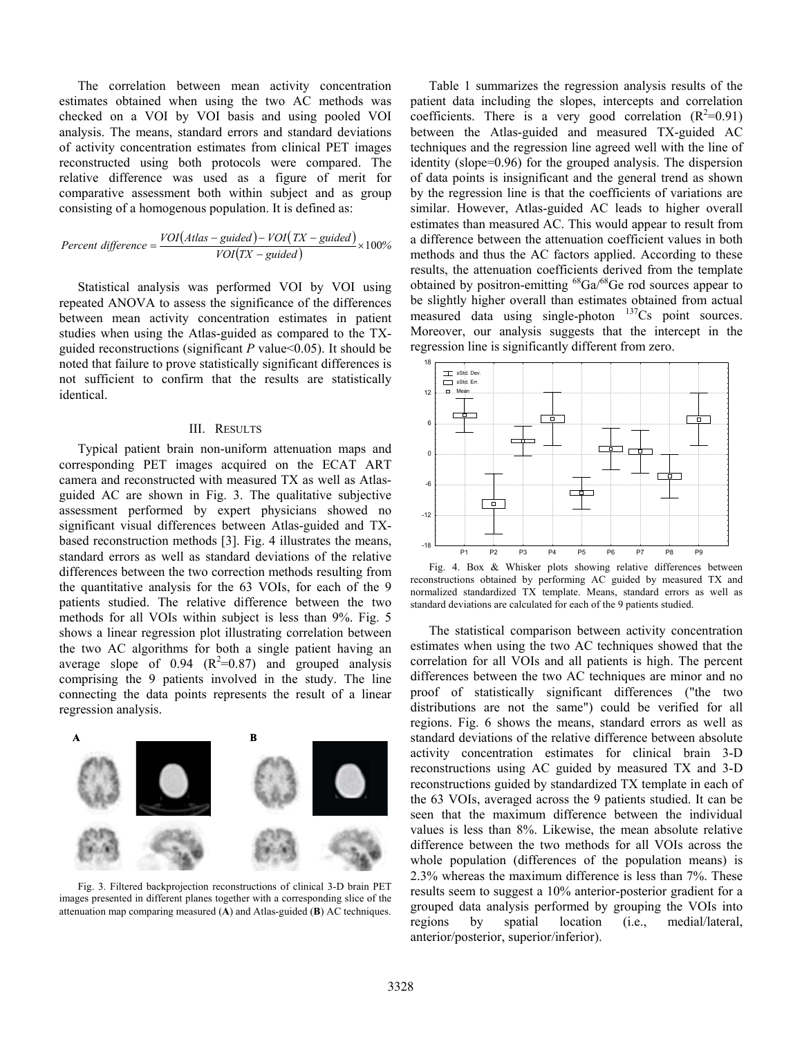The correlation between mean activity concentration estimates obtained when using the two AC methods was checked on a VOI by VOI basis and using pooled VOI analysis. The means, standard errors and standard deviations of activity concentration estimates from clinical PET images reconstructed using both protocols were compared. The relative difference was used as a figure of merit for comparative assessment both within subject and as group consisting of a homogenous population. It is defined as:

$$
Percent difference = \frac{VOI(Atlas - guided) - VOI(TX - guided)}{VOI(TX - guided)} \times 100\%
$$

Statistical analysis was performed VOI by VOI using repeated ANOVA to assess the significance of the differences between mean activity concentration estimates in patient studies when using the Atlas-guided as compared to the TXguided reconstructions (significant *P* value<0.05). It should be noted that failure to prove statistically significant differences is not sufficient to confirm that the results are statistically identical.

#### III. RESULTS

Typical patient brain non-uniform attenuation maps and corresponding PET images acquired on the ECAT ART camera and reconstructed with measured TX as well as Atlasguided AC are shown in Fig. 3. The qualitative subjective assessment performed by expert physicians showed no significant visual differences between Atlas-guided and TXbased reconstruction methods [3]. Fig. 4 illustrates the means, standard errors as well as standard deviations of the relative differences between the two correction methods resulting from the quantitative analysis for the 63 VOIs, for each of the 9 patients studied. The relative difference between the two methods for all VOIs within subject is less than 9%. Fig. 5 shows a linear regression plot illustrating correlation between the two AC algorithms for both a single patient having an average slope of 0.94  $(R^2=0.87)$  and grouped analysis comprising the 9 patients involved in the study. The line connecting the data points represents the result of a linear regression analysis.



Fig. 3. Filtered backprojection reconstructions of clinical 3-D brain PET images presented in different planes together with a corresponding slice of the attenuation map comparing measured (**A**) and Atlas-guided (**B**) AC techniques.

Table 1 summarizes the regression analysis results of the patient data including the slopes, intercepts and correlation coefficients. There is a very good correlation  $(R^2=0.91)$ between the Atlas-guided and measured TX-guided AC techniques and the regression line agreed well with the line of identity (slope=0.96) for the grouped analysis. The dispersion of data points is insignificant and the general trend as shown by the regression line is that the coefficients of variations are similar. However, Atlas-guided AC leads to higher overall estimates than measured AC. This would appear to result from a difference between the attenuation coefficient values in both methods and thus the AC factors applied. According to these results, the attenuation coefficients derived from the template obtained by positron-emitting  ${}^{68}Ga/{}^{68}Ge$  rod sources appear to be slightly higher overall than estimates obtained from actual measured data using single-photon <sup>137</sup>Cs point sources. Moreover, our analysis suggests that the intercept in the regression line is significantly different from zero.



Fig. 4. Box & Whisker plots showing relative differences between reconstructions obtained by performing AC guided by measured TX and normalized standardized TX template. Means, standard errors as well as standard deviations are calculated for each of the 9 patients studied.

The statistical comparison between activity concentration estimates when using the two AC techniques showed that the correlation for all VOIs and all patients is high. The percent differences between the two AC techniques are minor and no proof of statistically significant differences ("the two distributions are not the same") could be verified for all regions. Fig. 6 shows the means, standard errors as well as standard deviations of the relative difference between absolute activity concentration estimates for clinical brain 3-D reconstructions using AC guided by measured TX and 3-D reconstructions guided by standardized TX template in each of the 63 VOIs, averaged across the 9 patients studied. It can be seen that the maximum difference between the individual values is less than 8%. Likewise, the mean absolute relative difference between the two methods for all VOIs across the whole population (differences of the population means) is 2.3% whereas the maximum difference is less than 7%. These results seem to suggest a 10% anterior-posterior gradient for a grouped data analysis performed by grouping the VOIs into regions by spatial location (i.e., medial/lateral, anterior/posterior, superior/inferior).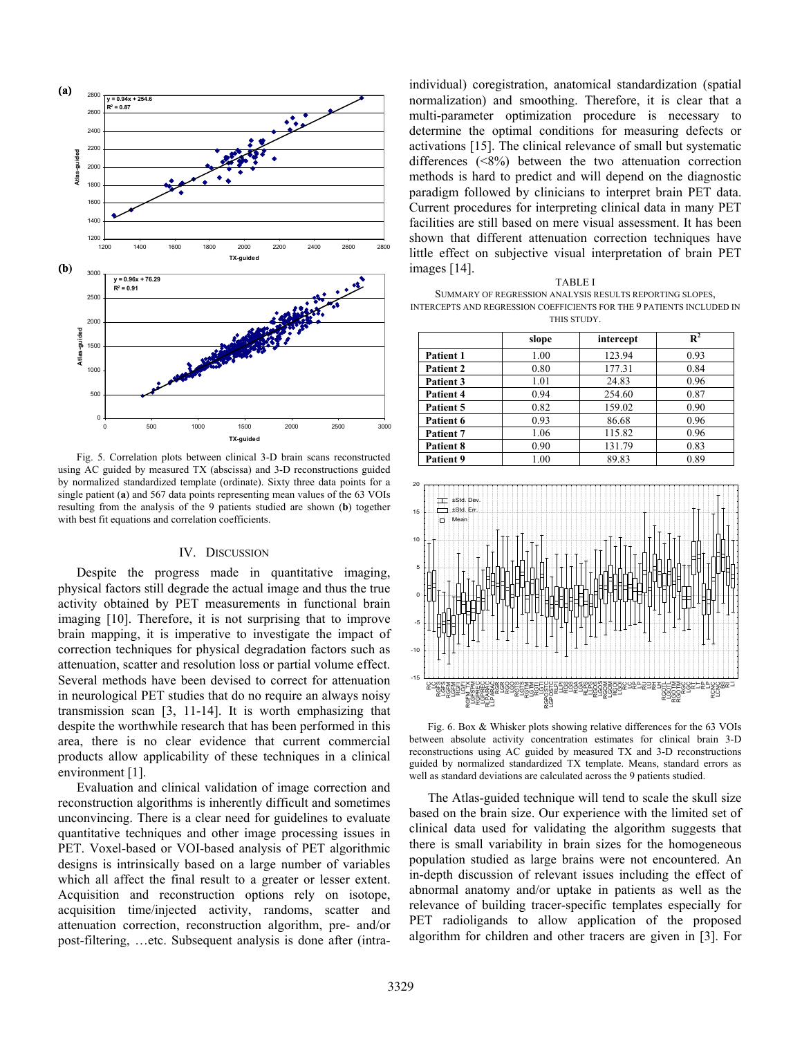

Fig. 5. Correlation plots between clinical 3-D brain scans reconstructed using AC guided by measured TX (abscissa) and 3-D reconstructions guided by normalized standardized template (ordinate). Sixty three data points for a single patient (**a**) and 567 data points representing mean values of the 63 VOIs resulting from the analysis of the 9 patients studied are shown (**b**) together with best fit equations and correlation coefficients.

#### IV. DISCUSSION

Despite the progress made in quantitative imaging, physical factors still degrade the actual image and thus the true activity obtained by PET measurements in functional brain imaging [10]. Therefore, it is not surprising that to improve brain mapping, it is imperative to investigate the impact of correction techniques for physical degradation factors such as attenuation, scatter and resolution loss or partial volume effect. Several methods have been devised to correct for attenuation in neurological PET studies that do no require an always noisy transmission scan [3, 11-14]. It is worth emphasizing that despite the worthwhile research that has been performed in this area, there is no clear evidence that current commercial products allow applicability of these techniques in a clinical environment [1].

Evaluation and clinical validation of image correction and reconstruction algorithms is inherently difficult and sometimes unconvincing. There is a clear need for guidelines to evaluate quantitative techniques and other image processing issues in PET. Voxel-based or VOI-based analysis of PET algorithmic designs is intrinsically based on a large number of variables which all affect the final result to a greater or lesser extent. Acquisition and reconstruction options rely on isotope, acquisition time/injected activity, randoms, scatter and attenuation correction, reconstruction algorithm, pre- and/or post-filtering, …etc. Subsequent analysis is done after (intraindividual) coregistration, anatomical standardization (spatial normalization) and smoothing. Therefore, it is clear that a multi-parameter optimization procedure is necessary to determine the optimal conditions for measuring defects or activations [15]. The clinical relevance of small but systematic differences (<8%) between the two attenuation correction methods is hard to predict and will depend on the diagnostic paradigm followed by clinicians to interpret brain PET data. Current procedures for interpreting clinical data in many PET facilities are still based on mere visual assessment. It has been shown that different attenuation correction techniques have little effect on subjective visual interpretation of brain PET images [14].

| <b>TABLE I</b>                                                        |
|-----------------------------------------------------------------------|
| SUMMARY OF REGRESSION ANALYSIS RESULTS REPORTING SLOPES,              |
| INTERCEPTS AND REGRESSION COEFFICIENTS FOR THE 9 PATIENTS INCLUDED IN |

THIS STUDY.

|                  | slope | intercept | $\mathbf{R}^2$ |
|------------------|-------|-----------|----------------|
| <b>Patient 1</b> | 1.00  | 123.94    | 0.93           |
| Patient 2        | 0.80  | 177.31    | 0.84           |
| Patient 3        | 1.01  | 24.83     | 0.96           |
| Patient 4        | 0.94  | 254.60    | 0.87           |
| Patient 5        | 0.82  | 159.02    | 0.90           |
| Patient 6        | 0.93  | 86.68     | 0.96           |
| Patient 7        | 1.06  | 115.82    | 0.96           |
| Patient 8        | 0.90  | 131.79    | 0.83           |
| Patient 9        | 1.00  | 89.83     | 0.89           |



Fig. 6. Box & Whisker plots showing relative differences for the 63 VOIs between absolute activity concentration estimates for clinical brain 3-D reconstructions using AC guided by measured TX and 3-D reconstructions guided by normalized standardized TX template. Means, standard errors as well as standard deviations are calculated across the 9 patients studied.

The Atlas-guided technique will tend to scale the skull size based on the brain size. Our experience with the limited set of clinical data used for validating the algorithm suggests that there is small variability in brain sizes for the homogeneous population studied as large brains were not encountered. An in-depth discussion of relevant issues including the effect of abnormal anatomy and/or uptake in patients as well as the relevance of building tracer-specific templates especially for PET radioligands to allow application of the proposed algorithm for children and other tracers are given in [3]. For